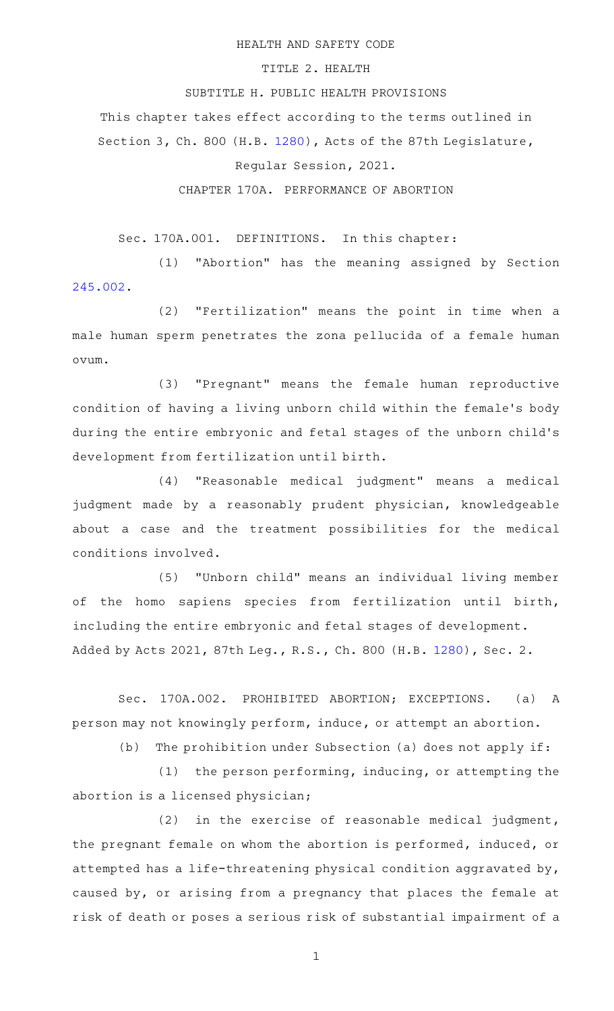#### HEALTH AND SAFETY CODE

### TITLE 2. HEALTH

# SUBTITLE H. PUBLIC HEALTH PROVISIONS

This chapter takes effect according to the terms outlined in

Section 3, Ch. 800 (H.B. [1280\)](http://www.legis.state.tx.us/tlodocs/87R/billtext/html/HB01280F.HTM), Acts of the 87th Legislature,

## Regular Session, 2021.

### CHAPTER 170A. PERFORMANCE OF ABORTION

Sec. 170A.001. DEFINITIONS. In this chapter:

(1) "Abortion" has the meaning assigned by Section [245.002.](https://statutes.capitol.texas.gov/GetStatute.aspx?Code=HS&Value=245.002)

(2) "Fertilization" means the point in time when a male human sperm penetrates the zona pellucida of a female human ovum.

(3) "Pregnant" means the female human reproductive condition of having a living unborn child within the female 's body during the entire embryonic and fetal stages of the unborn child's development from fertilization until birth.

(4) "Reasonable medical judgment" means a medical judgment made by a reasonably prudent physician, knowledgeable about a case and the treatment possibilities for the medical conditions involved.

(5) "Unborn child" means an individual living member of the homo sapiens species from fertilization until birth, including the entire embryonic and fetal stages of development. Added by Acts 2021, 87th Leg., R.S., Ch. 800 (H.B. [1280\)](http://www.legis.state.tx.us/tlodocs/87R/billtext/html/HB01280F.HTM), Sec. 2.

Sec. 170A.002. PROHIBITED ABORTION; EXCEPTIONS. (a) A person may not knowingly perform, induce, or attempt an abortion.

(b) The prohibition under Subsection (a) does not apply if:

 $(1)$  the person performing, inducing, or attempting the abortion is a licensed physician;

 $(2)$  in the exercise of reasonable medical judgment, the pregnant female on whom the abortion is performed, induced, or attempted has a life-threatening physical condition aggravated by, caused by, or arising from a pregnancy that places the female at risk of death or poses a serious risk of substantial impairment of a

1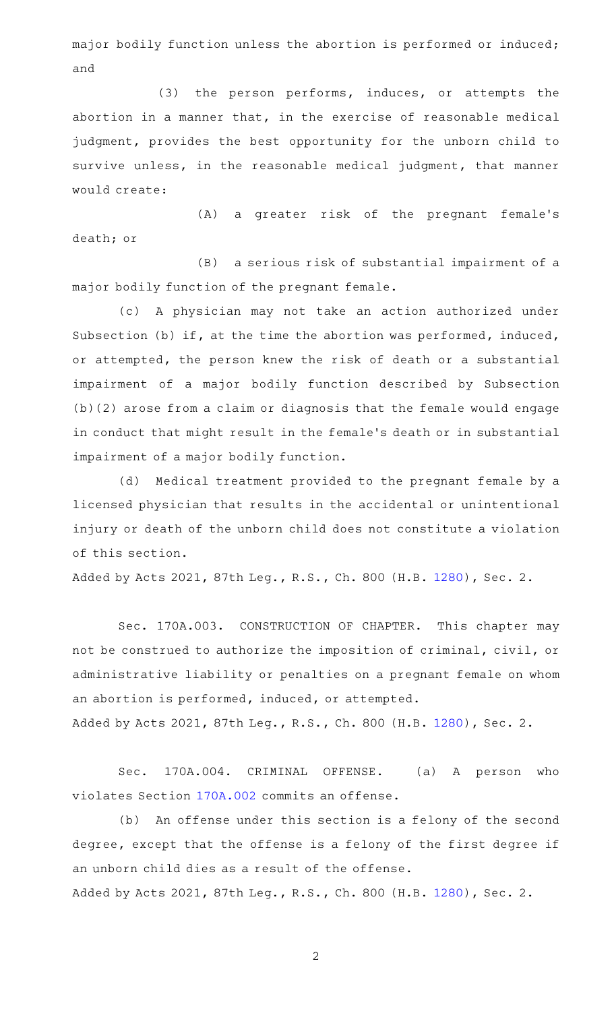major bodily function unless the abortion is performed or induced; and

(3) the person performs, induces, or attempts the abortion in a manner that, in the exercise of reasonable medical judgment, provides the best opportunity for the unborn child to survive unless, in the reasonable medical judgment, that manner would create:

(A) a greater risk of the pregnant female's death; or

(B) a serious risk of substantial impairment of a major bodily function of the pregnant female.

(c)AAA physician may not take an action authorized under Subsection (b) if, at the time the abortion was performed, induced, or attempted, the person knew the risk of death or a substantial impairment of a major bodily function described by Subsection (b)(2) arose from a claim or diagnosis that the female would engage in conduct that might result in the female 's death or in substantial impairment of a major bodily function.

(d) Medical treatment provided to the pregnant female by a licensed physician that results in the accidental or unintentional injury or death of the unborn child does not constitute a violation of this section.

Added by Acts 2021, 87th Leg., R.S., Ch. 800 (H.B. [1280\)](http://www.legis.state.tx.us/tlodocs/87R/billtext/html/HB01280F.HTM), Sec. 2.

Sec. 170A.003. CONSTRUCTION OF CHAPTER. This chapter may not be construed to authorize the imposition of criminal, civil, or administrative liability or penalties on a pregnant female on whom an abortion is performed, induced, or attempted. Added by Acts 2021, 87th Leg., R.S., Ch. 800 (H.B. [1280\)](http://www.legis.state.tx.us/tlodocs/87R/billtext/html/HB01280F.HTM), Sec. 2.

Sec. 170A.004. CRIMINAL OFFENSE. (a) A person who violates Section [170A.002](https://statutes.capitol.texas.gov/GetStatute.aspx?Code=HS&Value=170A.002) commits an offense.

(b) An offense under this section is a felony of the second degree, except that the offense is a felony of the first degree if an unborn child dies as a result of the offense. Added by Acts 2021, 87th Leg., R.S., Ch. 800 (H.B. [1280\)](http://www.legis.state.tx.us/tlodocs/87R/billtext/html/HB01280F.HTM), Sec. 2.

2